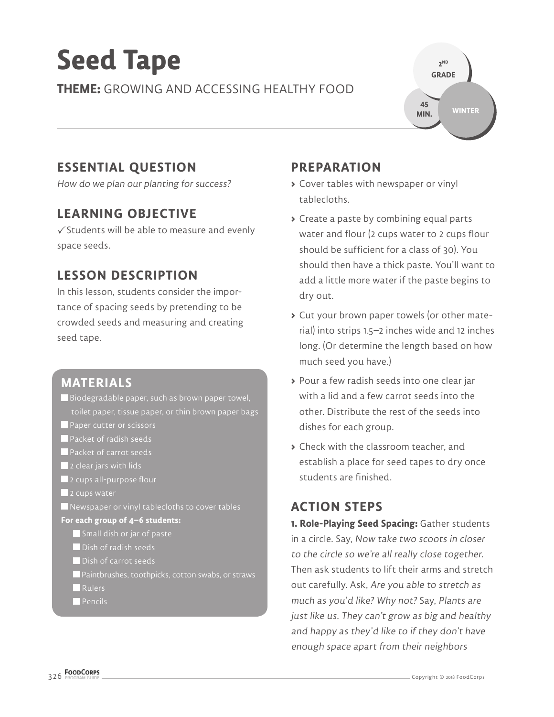# **Seed Tape**

**THEME:** GROWING AND ACCESSING HEALTHY FOOD



## **ESSENTIAL QUESTION**

How do we plan our planting for success?

## **LEARNING OBJECTIVE**

 $\checkmark$  Students will be able to measure and evenly space seeds.

## **LESSON DESCRIPTION**

In this lesson, students consider the importance of spacing seeds by pretending to be crowded seeds and measuring and creating seed tape.

#### **MATERIALS**

- Biodegradable paper, such as brown paper towel, toilet paper, tissue paper, or thin brown paper bags
- **Paper cutter or scissors**
- **Packet of radish seeds**
- **Packet of carrot seeds**
- $\blacksquare$  2 clear jars with lids
- **2** 2 cups all-purpose flour
- 2 cups water
- Newspaper or vinyl tablecloths to cover tables
- **For each group of 4–6 students:**
	- Small dish or jar of paste
	- **Dish of radish seeds**
	- **Dish of carrot seeds**
	- Paintbrushes, toothpicks, cotton swabs, or straws
	- **Rulers**
	- **Pencils**

#### **PREPARATION**

- **>** Cover tables with newspaper or vinyl tablecloths.
- **>** Create a paste by combining equal parts water and flour (2 cups water to 2 cups flour should be sufficient for a class of 30). You should then have a thick paste. You'll want to add a little more water if the paste begins to dry out.
- **>** Cut your brown paper towels (or other material) into strips 1.5–2 inches wide and 12 inches long. (Or determine the length based on how much seed you have.)
- **>** Pour a few radish seeds into one clear jar with a lid and a few carrot seeds into the other. Distribute the rest of the seeds into dishes for each group.
- **>** Check with the classroom teacher, and establish a place for seed tapes to dry once students are finished.

### **ACTION STEPS**

**1. Role-Playing Seed Spacing:** Gather students in a circle. Say, Now take two scoots in closer to the circle so we're all really close together. Then ask students to lift their arms and stretch out carefully. Ask, Are you able to stretch as much as you'd like? Why not? Say, Plants are just like us. They can't grow as big and healthy and happy as they'd like to if they don't have enough space apart from their neighbors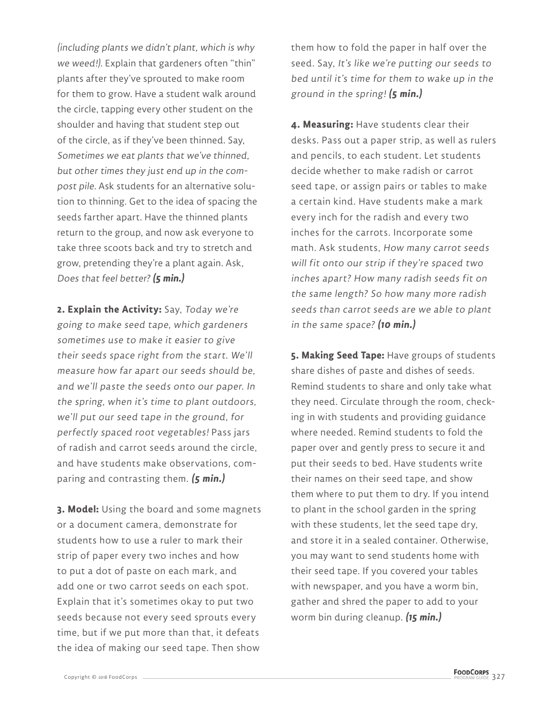(including plants we didn't plant, which is why we weed!). Explain that gardeners often "thin" plants after they've sprouted to make room for them to grow. Have a student walk around the circle, tapping every other student on the shoulder and having that student step out of the circle, as if they've been thinned. Say, Sometimes we eat plants that we've thinned, but other times they just end up in the compost pile. Ask students for an alternative solution to thinning. Get to the idea of spacing the seeds farther apart. Have the thinned plants return to the group, and now ask everyone to take three scoots back and try to stretch and grow, pretending they're a plant again. Ask, Does that feel better? **(5 min.)**

**2. Explain the Activity:** Say, Today we're going to make seed tape, which gardeners sometimes use to make it easier to give their seeds space right from the start. We'll measure how far apart our seeds should be, and we'll paste the seeds onto our paper. In the spring, when it's time to plant outdoors, we'll put our seed tape in the ground, for perfectly spaced root vegetables! Pass jars of radish and carrot seeds around the circle, and have students make observations, comparing and contrasting them. **(5 min.)**

**3. Model:** Using the board and some magnets or a document camera, demonstrate for students how to use a ruler to mark their strip of paper every two inches and how to put a dot of paste on each mark, and add one or two carrot seeds on each spot. Explain that it's sometimes okay to put two seeds because not every seed sprouts every time, but if we put more than that, it defeats the idea of making our seed tape. Then show

them how to fold the paper in half over the seed. Say, It's like we're putting our seeds to bed until it's time for them to wake up in the ground in the spring! **(5 min.)**

**4. Measuring:** Have students clear their desks. Pass out a paper strip, as well as rulers and pencils, to each student. Let students decide whether to make radish or carrot seed tape, or assign pairs or tables to make a certain kind. Have students make a mark every inch for the radish and every two inches for the carrots. Incorporate some math. Ask students, How many carrot seeds will fit onto our strip if they're spaced two inches apart? How many radish seeds fit on the same length? So how many more radish seeds than carrot seeds are we able to plant in the same space? **(10 min.)**

**5. Making Seed Tape:** Have groups of students share dishes of paste and dishes of seeds. Remind students to share and only take what they need. Circulate through the room, checking in with students and providing guidance where needed. Remind students to fold the paper over and gently press to secure it and put their seeds to bed. Have students write their names on their seed tape, and show them where to put them to dry. If you intend to plant in the school garden in the spring with these students, let the seed tape dry, and store it in a sealed container. Otherwise, you may want to send students home with their seed tape. If you covered your tables with newspaper, and you have a worm bin, gather and shred the paper to add to your worm bin during cleanup. **(15 min.)**